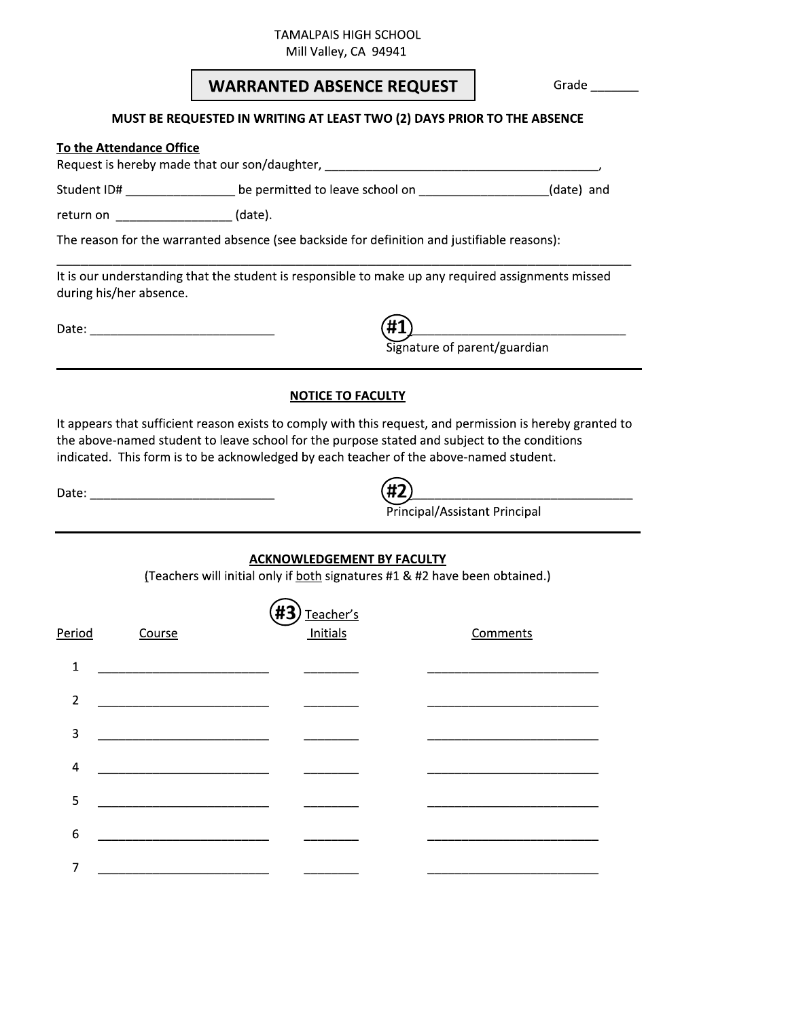**TAMALPAIS HIGH SCHOOL** 

Mill Valley, CA 94941

| <b>WARRANTED ABSENCE REQUEST</b> |  |  |  |
|----------------------------------|--|--|--|
|----------------------------------|--|--|--|

Grade  $\_\_$ 

## MUST BE REQUESTED IN WRITING AT LEAST TWO (2) DAYS PRIOR TO THE ABSENCE

#### To the Attendance Office

Request is hereby made that our son/daughter, \_\_\_\_\_\_\_\_\_\_\_\_\_\_\_\_\_\_\_\_\_\_\_\_\_\_\_\_\_\_\_\_\_\_

Student ID# \_\_\_\_\_\_\_\_\_\_\_\_\_\_\_\_\_\_\_\_ be permitted to leave school on \_\_\_\_\_\_\_\_\_\_\_\_\_\_\_\_(date) and

return on  $\frac{1}{\sqrt{1-\frac{1}{2}}\cdot\sqrt{1-\frac{1}{2}}\cdot\sqrt{1-\frac{1}{2}}\cdot\sqrt{1-\frac{1}{2}}\cdot\sqrt{1-\frac{1}{2}}\cdot\sqrt{1-\frac{1}{2}}\cdot\sqrt{1-\frac{1}{2}}\cdot\sqrt{1-\frac{1}{2}}\cdot\sqrt{1-\frac{1}{2}}\cdot\sqrt{1-\frac{1}{2}}\cdot\sqrt{1-\frac{1}{2}}\cdot\sqrt{1-\frac{1}{2}}\cdot\sqrt{1-\frac{1}{2}}\cdot\sqrt{1-\frac{1}{2}}\cdot\sqrt{1-\frac{1}{2}}\cdot\sqrt{1-\frac{1}{2$ 

The reason for the warranted absence (see backside for definition and justifiable reasons):

It is our understanding that the student is responsible to make up any required assignments missed during his/her absence.

#1)<br>Signature of parent/guardian

## **NOTICE TO FACULTY**

It appears that sufficient reason exists to comply with this request, and permission is hereby granted to the above-named student to leave school for the purpose stated and subject to the conditions indicated. This form is to be acknowledged by each teacher of the above-named student.

| I |  |
|---|--|
|   |  |

Principal/Assistant Principal

### **ACKNOWLEDGEMENT BY FACULTY**

(Teachers will initial only if both signatures #1 & #2 have been obtained.)

| Period           | Course | Teacher's<br>#3<br>Initials | Comments |
|------------------|--------|-----------------------------|----------|
| $\mathbf{1}$     |        |                             |          |
| $\overline{2}$   |        |                             |          |
| 3                |        |                             |          |
| $\overline{a}$   |        |                             |          |
| 5                |        |                             |          |
| $\boldsymbol{6}$ |        |                             |          |
|                  |        |                             |          |
| 7                |        |                             |          |